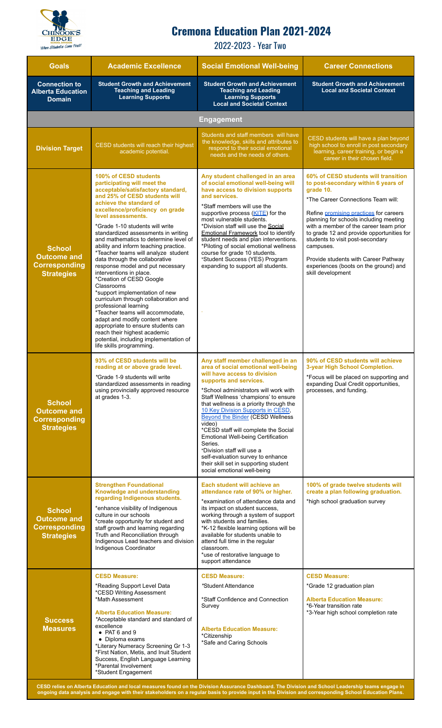

## **Cremona Education Plan 2021-2024**

2022-2023 - Year Two

| <b>Goals</b>                                                                     | <b>Academic Excellence</b>                                                                                                                                                                                                                                                                                                                                                                                                                                                                                                                                                                                                                                                                                                                                                                                                                                                        | <b>Social Emotional Well-being</b>                                                                                                                                                                                                                                                                                                                                                                                                                                                                                                                                                           | <b>Career Connections</b>                                                                                                                                                                                                                                                                                                                                                                                                                                        |
|----------------------------------------------------------------------------------|-----------------------------------------------------------------------------------------------------------------------------------------------------------------------------------------------------------------------------------------------------------------------------------------------------------------------------------------------------------------------------------------------------------------------------------------------------------------------------------------------------------------------------------------------------------------------------------------------------------------------------------------------------------------------------------------------------------------------------------------------------------------------------------------------------------------------------------------------------------------------------------|----------------------------------------------------------------------------------------------------------------------------------------------------------------------------------------------------------------------------------------------------------------------------------------------------------------------------------------------------------------------------------------------------------------------------------------------------------------------------------------------------------------------------------------------------------------------------------------------|------------------------------------------------------------------------------------------------------------------------------------------------------------------------------------------------------------------------------------------------------------------------------------------------------------------------------------------------------------------------------------------------------------------------------------------------------------------|
| <b>Connection to</b><br><b>Alberta Education</b><br><b>Domain</b>                | <b>Student Growth and Achievement</b><br><b>Teaching and Leading</b><br><b>Learning Supports</b>                                                                                                                                                                                                                                                                                                                                                                                                                                                                                                                                                                                                                                                                                                                                                                                  | <b>Student Growth and Achievement</b><br><b>Teaching and Leading</b><br><b>Learning Supports</b><br><b>Local and Societal Context</b>                                                                                                                                                                                                                                                                                                                                                                                                                                                        | <b>Student Growth and Achievement</b><br><b>Local and Societal Context</b>                                                                                                                                                                                                                                                                                                                                                                                       |
| <b>Engagement</b>                                                                |                                                                                                                                                                                                                                                                                                                                                                                                                                                                                                                                                                                                                                                                                                                                                                                                                                                                                   |                                                                                                                                                                                                                                                                                                                                                                                                                                                                                                                                                                                              |                                                                                                                                                                                                                                                                                                                                                                                                                                                                  |
| <b>Division Target</b>                                                           | CESD students will reach their highest<br>academic potential.                                                                                                                                                                                                                                                                                                                                                                                                                                                                                                                                                                                                                                                                                                                                                                                                                     | Students and staff members will have<br>the knowledge, skills and attributes to<br>respond to their social emotional<br>needs and the needs of others.                                                                                                                                                                                                                                                                                                                                                                                                                                       | CESD students will have a plan beyond<br>high school to enroll in post secondary<br>learning, career training, or begin a<br>career in their chosen field.                                                                                                                                                                                                                                                                                                       |
| <b>School</b><br><b>Outcome and</b><br><b>Corresponding</b><br><b>Strategies</b> | 100% of CESD students<br>participating will meet the<br>acceptable/satisfactory standard,<br>and 25% of CESD students will<br>achieve the standard of<br>excellence/proficiency on grade<br>level assessments.<br>*Grade 1-10 students will write<br>standardized assessments in writing<br>and mathematics to determine level of<br>ability and inform teaching practice.<br>*Teacher teams will analyze student<br>data through the collaborative<br>response model and put necessary<br>interventions in place.<br>*Creation of CESD Google<br>Classrooms<br>*support implementation of new<br>curriculum through collaboration and<br>professional learning<br>*Teacher teams will accommodate,<br>adapt and modify content where<br>appropriate to ensure students can<br>reach their highest academic<br>potential, including implementation of<br>life skills programming. | Any student challenged in an area<br>of social emotional well-being will<br>have access to division supports<br>and services.<br>*Staff members will use the<br>supportive process (KITE) for the<br>most vulnerable students.<br>*Division staff will use the Social<br><b>Emotional Framework tool to identify</b><br>student needs and plan interventions.<br>*Piloting of social emotional wellness<br>course for grade 10 students.<br>*Student Success (YES) Program<br>expanding to support all students.                                                                             | 60% of CESD students will transition<br>to post-secondary within 6 years of<br>grade 10.<br>*The Career Connections Team will:<br>Refine promising practices for careers<br>planning for schools including meeting<br>with a member of the career team prior<br>to grade 12 and provide opportunities for<br>students to visit post-secondary<br>campuses.<br>Provide students with Career Pathway<br>experiences (boots on the ground) and<br>skill development |
| <b>School</b><br><b>Outcome and</b><br><b>Corresponding</b><br><b>Strategies</b> | 93% of CESD students will be<br>reading at or above grade level.<br>*Grade 1-9 students will write<br>standardized assessments in reading<br>using provincially approved resource<br>at grades 1-3.                                                                                                                                                                                                                                                                                                                                                                                                                                                                                                                                                                                                                                                                               | Any staff member challenged in an<br>area of social emotional well-being<br>will have access to division<br>supports and services.<br>*School administrators will work with<br>Staff Wellness 'champions' to ensure<br>that wellness is a priority through the<br>10 Key Division Supports in CESD,<br><b>Beyond the Binder (CESD Wellness</b><br>video)<br>*CESD staff will complete the Social<br>Emotional Well-being Certification<br>Series.<br>*Division staff will use a<br>self-evaluation survey to enhance<br>their skill set in supporting student<br>social emotional well-being | 90% of CESD students will achieve<br>3-year High School Completion.<br>*Focus will be placed on supporting and<br>expanding Dual Credit opportunities,<br>processes, and funding.                                                                                                                                                                                                                                                                                |
| <b>School</b><br><b>Outcome and</b><br><b>Corresponding</b><br><b>Strategies</b> | <b>Strengthen Foundational</b><br>Knowledge and understanding<br>regarding Indigenous students.<br>*enhance visibility of Indigenous<br>culture in our schools<br>*create opportunity for student and<br>staff growth and learning regarding<br>Truth and Reconciliation through<br>Indigenous Lead teachers and division<br>Indigenous Coordinator                                                                                                                                                                                                                                                                                                                                                                                                                                                                                                                               | Each student will achieve an<br>attendance rate of 90% or higher.<br>*examination of attendance data and<br>its impact on student success,<br>working through a system of support<br>with students and families.<br>*K-12 flexible learning options will be<br>available for students unable to<br>attend full time in the regular<br>classroom.<br>*use of restorative language to<br>support attendance                                                                                                                                                                                    | 100% of grade twelve students will<br>create a plan following graduation.<br>*high school graduation survey                                                                                                                                                                                                                                                                                                                                                      |
| <b>Success</b><br><b>Measures</b>                                                | <b>CESD Measure:</b><br>*Reading Support Level Data<br>*CESD Writing Assessment<br>*Math Assessment<br><b>Alberta Education Measure:</b><br>*Acceptable standard and standard of<br>excellence<br>$\bullet$ PAT 6 and 9<br>• Diploma exams<br>*Literary Numeracy Screening Gr 1-3<br>*First Nation, Metis, and Inuit Student<br>Success, English Language Learning<br>*Parental Involvement<br>*Student Engagement                                                                                                                                                                                                                                                                                                                                                                                                                                                                | <b>CESD Measure:</b><br>*Student Attendance<br>*Staff Confidence and Connection<br>Survey<br><b>Alberta Education Measure:</b><br>*Citizenship<br>*Safe and Caring Schools                                                                                                                                                                                                                                                                                                                                                                                                                   | <b>CESD Measure:</b><br>*Grade 12 graduation plan<br><b>Alberta Education Measure:</b><br>*6-Year transition rate<br>*3-Year high school completion rate                                                                                                                                                                                                                                                                                                         |

CESD relies on Alberta Education and local measures found on the Division Assurance Dashboard. The Division and School Leadership teams engage in ongoing data analysis and engage with their stakeholders on a regular basis to provide input in the Division and corresponding School Education Plans.